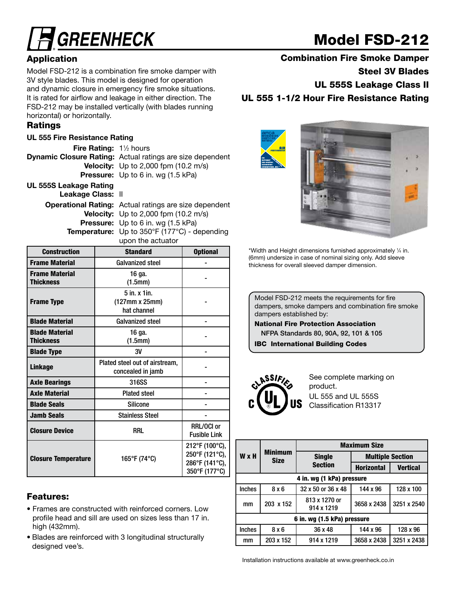# **GREENHECK**

## Model FSD-212

### **Application**

Model FSD-212 is a combination fire smoke damper with 3V style blades. This model is designed for operation and dynamic closure in emergency fire smoke situations. It is rated for airflow and leakage in either direction. The FSD-212 may be installed vertically (with blades running horizontal) or horizontally.

#### Ratings

#### UL 555 Fire Resistance Rating

Fire Rating: 1<sup>1/2</sup> hours Dynamic Closure Rating: Actual ratings are size dependent **Velocity:** Up to 2,000 fpm (10.2 m/s) Pressure: Up to 6 in. wg (1.5 kPa) UL 555S Leakage Rating

Leakage Class: II

Operational Rating: Actual ratings are size dependent Velocity: Up to 2,000 fpm (10.2 m/s) Pressure: Up to 6 in. wg (1.5 kPa) **Temperature:** Up to 350°F (177°C) - depending upon the actuator

| <b>Construction</b>                       | <b>Standard</b>                                      | <b>Optional</b>                                                     |
|-------------------------------------------|------------------------------------------------------|---------------------------------------------------------------------|
| <b>Frame Material</b>                     | <b>Galvanized steel</b>                              |                                                                     |
| <b>Frame Material</b><br><b>Thickness</b> | 16 qa.<br>(1.5mm)                                    |                                                                     |
| <b>Frame Type</b>                         | 5 in. x 1in.<br>$(127mm \times 25mm)$<br>hat channel |                                                                     |
| <b>Blade Material</b>                     | <b>Galvanized steel</b>                              |                                                                     |
| <b>Blade Material</b><br><b>Thickness</b> | 16 ga.<br>(1.5mm)                                    |                                                                     |
| <b>Blade Type</b>                         | 3V                                                   |                                                                     |
| <b>Linkage</b>                            | Plated steel out of airstream,<br>concealed in jamb  |                                                                     |
| <b>Axle Bearings</b>                      | 316SS                                                |                                                                     |
| <b>Axle Material</b>                      | <b>Plated steel</b>                                  |                                                                     |
| <b>Blade Seals</b>                        | <b>Silicone</b>                                      |                                                                     |
| <b>Jamb Seals</b>                         | <b>Stainless Steel</b>                               |                                                                     |
| <b>Closure Device</b>                     | RRL                                                  |                                                                     |
| <b>Closure Temperature</b>                | 165°F (74°C)                                         | 212°F (100°C),<br>250°F (121°C),<br>286°F (141°C),<br>350°F (177°C) |

### Features:

- Frames are constructed with reinforced corners. Low profile head and sill are used on sizes less than 17 in. high (432mm).
- Blades are reinforced with 3 longitudinal structurally designed vee's.

Steel 3V Blades

UL 555S Leakage Class II

UL 555 1-1/2 Hour Fire Resistance Rating



\*Width and Height dimensions furnished approximately 1 ⁄4 in. (6mm) undersize in case of nominal sizing only. Add sleeve thickness for overall sleeved damper dimension.

Model FSD-212 meets the requirements for fire dampers, smoke dampers and combination fire smoke dampers established by:

National Fire Protection Association NFPA Standards 80, 90A, 92, 101 & 105

IBC International Building Codes



See complete marking on product. UL 555 and UL 555S Classification R13317

|                             |                               | <b>Maximum Size</b>         |                         |                 |  |  |  |
|-----------------------------|-------------------------------|-----------------------------|-------------------------|-----------------|--|--|--|
| W x H                       | <b>Minimum</b><br><b>Size</b> | <b>Single</b>               | <b>Multiple Section</b> |                 |  |  |  |
|                             |                               | <b>Section</b>              | <b>Horizontal</b>       | <b>Vertical</b> |  |  |  |
| 4 in. wg (1 kPa) pressure   |                               |                             |                         |                 |  |  |  |
| <b>Inches</b>               | 8x6                           | 32 x 50 or 36 x 48          | 144 x 96                | 128 x 100       |  |  |  |
| mm                          | 203 x 152                     | 813 x 1270 or<br>914 x 1219 | 3658 x 2438             | 3251 x 2540     |  |  |  |
| 6 in. wg (1.5 kPa) pressure |                               |                             |                         |                 |  |  |  |
| <b>Inches</b>               | 8x6                           | 36 x 48                     | 144 x 96                | 128 x 96        |  |  |  |
| mm                          | 203 x 152                     | 914 x 1219                  | 3658 x 2438             | 3251 x 2438     |  |  |  |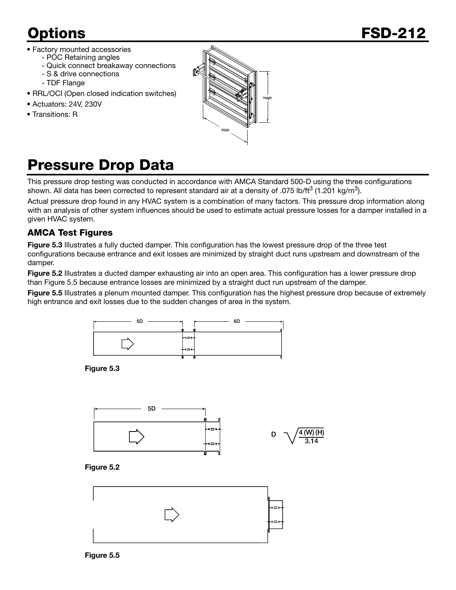- Factory mounted accessories
	- POC Retaining angles
	- Quick connect breakaway connections
	- S & drive connections - TDF Flange
- RRL/OCI (Open closed indication switches)
- Actuators: 24V, 230V
- Transitions: R



## Pressure Drop Data

This pressure drop testing was conducted in accordance with AMCA Standard 500-D using the three configurations shown. All data has been corrected to represent standard air at a density of .075 lb/ft<sup>3</sup> (1.201 kg/m<sup>3</sup>).

Actual pressure drop found in any HVAC system is a combination of many factors. This pressure drop information along with an analysis of other system influences should be used to estimate actual pressure losses for a damper installed in a given HVAC system.

#### AMCA Test Figures

Figure 5.3 Illustrates a fully ducted damper. This configuration has the lowest pressure drop of the three test configurations because entrance and exit losses are minimized by straight duct runs upstream and downstream of the damper.

Figure 5.2 Illustrates a ducted damper exhausting air into an open area. This configuration has a lower pressure drop than Figure 5.5 because entrance losses are minimized by a straight duct run upstream of the damper.

Figure 5.5 Illustrates a plenum mounted damper. This configuration has the highest pressure drop because of extremely high entrance and exit losses due to the sudden changes of area in the system.



Figure 5.3







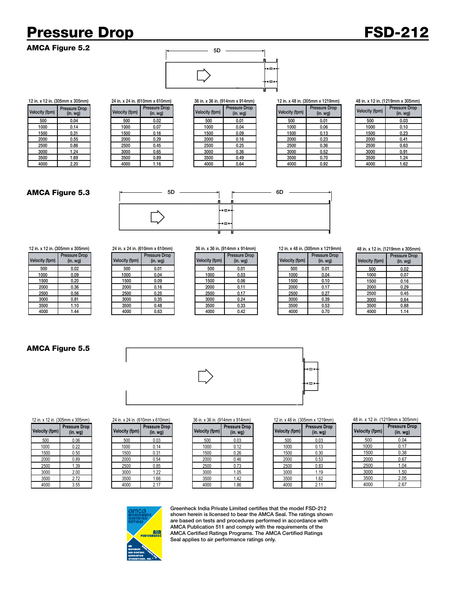## Pressure Drop FSD-212

AMCA Figure 5.2



12 in. x 12 in. (305mm x 305mm) 24 in. x 24 in. (610mm x 610mm) 36 in. x 36 in. (914mm x 914mm) 12 in. x 48 in. (305mm x 1219mm)

| city (fpm) | <b>Pressure Drop</b><br>(in. wg) | Velocity (fpm) | Pressure Drop<br>(in. <i>wg</i> ) | Velocity (fpm) | Pressure Drop<br>(in. <i>wg</i> ) | Velocity (fpm) | <b>Pressure Drop</b><br>(in.wg) |
|------------|----------------------------------|----------------|-----------------------------------|----------------|-----------------------------------|----------------|---------------------------------|
| 500        | 0.04                             | 500            | 0.02                              | 500            | 0.01                              | 500            | 0.01                            |
| 1000       | 0.14                             | 1000           | 0.07                              | 1000           | 0.04                              | 1000           | 0.06                            |
| 1500       | 0.31                             | 1500           | 0.16                              | 1500           | 0.09                              | 1500           | 0.13                            |
| 2000       | 0.55                             | 2000           | 0.29                              | 2000           | 0.16                              | 2000           | 0.23                            |
| 2500       | 0.86                             | 2500           | 0.45                              | 2500           | 0.25                              | 2500           | 0.36                            |
| 3000       | 1.24                             | 3000           | 0.65                              | 3000           | 0.36                              | 3000           | 0.52                            |
| 3500       | 1.69                             | 3500           | 0.89                              | 3500           | 0.49                              | 3500           | 0.70                            |
| 4000       | 2.20                             | 4000           | 1.16                              | 4000           | 0.64                              | 4000           | 0.92                            |

#### 48 in. x 12 in. (1219mm x 305mm)

| <b>Velocity (fpm)</b> | <b>Pressure Drop</b><br>$(in. wq)$ |
|-----------------------|------------------------------------|
| 500                   | 0.03                               |
| 1000                  | 0.10                               |
| 1500                  | 0.23                               |
| 2000                  | 0.41                               |
| 2500                  | 0.63                               |
| 3000                  | 0.91                               |
| 3500                  | 1.24                               |
| 4000                  | 1.62                               |

#### AMCA Figure 5.3



| ובוווויטער ג ווווויטעטן ווווי בו בא |                                          |  |  |  |
|-------------------------------------|------------------------------------------|--|--|--|
| Velocity (fpm)                      | <b>Pressure Drop</b><br>(in. <i>wq</i> ) |  |  |  |
| 500                                 | 0.02                                     |  |  |  |
| 1000                                | 0.09                                     |  |  |  |
| 1500                                | 0.20                                     |  |  |  |
| 2000                                | 0.36                                     |  |  |  |
| 2500                                | 0.56                                     |  |  |  |
| 3000                                | 0.81                                     |  |  |  |
| 3500                                | 1.10                                     |  |  |  |
| 4000                                | 1.44                                     |  |  |  |

|                | 12 in. x 12 in. (305mm x 305mm)  |                | 24 in. x 24 in. (610mm x 610mm) |                | 36 in. x 36 in. (914mm x 914mm) |                | 12 in. x 48 in. (305mm x 1219mm) |
|----------------|----------------------------------|----------------|---------------------------------|----------------|---------------------------------|----------------|----------------------------------|
| Velocity (fpm) | <b>Pressure Drop</b><br>(in. wg) | Velocity (fpm) | <b>Pressure Drop</b><br>(in.wg) | Velocity (fpm) | <b>Pressure Drop</b><br>(in.wg) | Velocity (fpm) | <b>Pressure Drop</b><br>(in.wg)  |
| 500            | 0.02                             | 500            | 0.01                            | 500            | 0.01                            | 500            | 0.01                             |
| 1000           | 0.09                             | 1000           | 0.04                            | 1000           | 0.03                            | 1000           | 0.04                             |
| 1500           | 0.20                             | 1500           | 0.09                            | 1500           | 0.06                            | 1500           | 0.10                             |
| 2000           | 0.36                             | 2000           | 0.16                            | 2000           | 0.11                            | 2000           | 0.17                             |
| 2500           | 0.56                             | 2500           | 0.25                            | 2500           | 0.17                            | 2500           | 0.27                             |
| 3000           | 0.81                             | 3000           | 0.35                            | 3000           | 0.24                            | 3000           | 0.39                             |
| 3500           | 1.10                             | 3500           | 0.48                            | 3500           | 0.33                            | 3500           | 0.53                             |
| 4000           | 1.44                             | 4000           | 0.63                            | 4000           | 0.42                            | 4000           | 0.70                             |

|  |  | 36 in. x 36 in. (914mm x 914m |  |
|--|--|-------------------------------|--|
|  |  |                               |  |

| ssure Drop<br>(in. wg) | Velocity (fpm) | <b>Pressure Drop</b><br>$(in.$ wg $)$ |
|------------------------|----------------|---------------------------------------|
| 0.01                   | 500            | 0.01                                  |
| 0.04                   | 1000           | 0.03                                  |
| 0.09                   | 1500           | 0.06                                  |
| 0.16                   | 2000           | 0.11                                  |
| 0.25                   | 2500           | 0.17                                  |
| 0.35                   | 3000           | 0.24                                  |
| 0.48                   | 3500           | 0.33                                  |
| 0.63                   | 4000           | 0.42                                  |

| ssure Drop<br>(in. wg) | Velocity (fpm) | <b>Pressure Drop</b><br>$(in.$ wg $)$ |
|------------------------|----------------|---------------------------------------|
| 0.01                   | 500            | 0.01                                  |
| 0.03                   | 1000           | 0.04                                  |
| 0.06                   | 1500           | 0.10                                  |
| 0.11                   | 2000           | 0.17                                  |
| 0.17                   | 2500           | 0.27                                  |
| 0.24                   | 3000           | 0.39                                  |
| 0.33                   | 3500           | 0.53                                  |
| 0.42                   | 4000           | 0.70                                  |
|                        |                |                                       |

48 in. x 12 in. (1219mm x 305mm)

| <b>Velocity (fpm)</b> | <b>Pressure Drop</b><br>$(in.$ wg $)$ |
|-----------------------|---------------------------------------|
| 500                   | 0.02                                  |
| 1000                  | 0.07                                  |
| 1500                  | 0.16                                  |
| 2000                  | 0.29                                  |
| 2500                  | 0.45                                  |
| 3000                  | 0.64                                  |
| 3500                  | 0.88                                  |
| 4000                  | 1.14                                  |

#### AMCA Figure 5.5





**Proccure Drop** 

| <b>Velocity (fpm)</b> | Pressure Drop<br>(in. wg) |
|-----------------------|---------------------------|
| 500                   | 0.06                      |
| 1000                  | 0.22                      |
| 1500                  | 0.50                      |
| 2000                  | 0.89                      |
| 2500                  | 1.39                      |
| 3000                  | 2.00                      |
| 3500                  | 2.72                      |
| 4000                  | 3.55                      |

| city (fpm) | <b>Pressure Drop</b><br>(in. wg) | Velocity (fpm) | <b>Pressure Drop</b><br>(in.wg) | Velocity (fpm) | <b>Pressure Drop</b><br>(in. <i>wg</i> ) | Velocity (fpm) | <b>Pressure</b><br>(in w) |
|------------|----------------------------------|----------------|---------------------------------|----------------|------------------------------------------|----------------|---------------------------|
| 500        | 0.06                             | 500            | 0.03                            | 500            | 0.03                                     | 500            | 0.03                      |
| 1000       | 0.22                             | 1000           | 0.14                            | 1000           | 0.12                                     | 1000           | 0.13                      |
| 1500       | 0.50                             | 1500           | 0.31                            | 1500           | 0.26                                     | 1500           | 0.30                      |
| 2000       | 0.89                             | 2000           | 0.54                            | 2000           | 0.46                                     | 2000           | 0.53                      |
| 2500       | . 39                             | 2500           | 0.85                            | 2500           | 0.73                                     | 2500           | 0.83                      |
| 3000       | 2.00                             | 3000           | 1.22                            | 3000           | 1.05                                     | 3000           | 1.19                      |
| 3500       | 2.72                             | 3500           | 1.66                            | 3500           | 1.42                                     | 3500           | 1.62                      |
| 4000       | 3.55                             | 4000           | 2.17                            | 4000           | 1.86                                     | 4000           | 2.11                      |

#### 12 in. x 12 in. (305mm x 305mm) 24 in. x 24 in. (610mm x 610mm) 36 in. x 36 in. (914mm x 914mm) 12 in. x 48 in. (305mm x 1219mm)

г

| uuu u uluw<br>(in. <i>wg</i> ) | Velocity (fpm) | , , , , , , , , , , , , , , , ,<br>(in. <i>wg</i> ) |
|--------------------------------|----------------|-----------------------------------------------------|
| 0.03                           | 500            | 0.03                                                |
| 0.12                           | 1000           | 0.13                                                |
| 0.26                           | 1500           | 0.30                                                |
| 0.46                           | 2000           | 0.53                                                |
| 0.73                           | 2500           | 0.83                                                |
| 1.05                           | 3000           | 1.19                                                |
| 1.42                           | 3500           | 1.62                                                |
| 1.86                           | 4000           | 2.11                                                |
|                                |                |                                                     |

#### 48 in. x 12 in. (1219mm x 305mm)

| <b>Velocity (fpm)</b> | <b>Pressure Drop</b><br>$(in.$ wg $)$ |  |  |
|-----------------------|---------------------------------------|--|--|
| 500                   | 0.04                                  |  |  |
| 1000                  | 0.17                                  |  |  |
| 1500                  | 0.38                                  |  |  |
| 2000                  | 0.67                                  |  |  |
| 2500                  | 1.04                                  |  |  |
| 3000                  | 1.50                                  |  |  |
| 3500                  | 2.05                                  |  |  |
| 4000                  | 2.67                                  |  |  |



**Pressure Drop (in. wg**)

> Greenheck India Private Limited certifies that the model FSD-212 shown herein is licensed to bear the AMCA Seal. The ratings shown are based on tests and procedures performed in accordance with AMCA Publication 511 and comply with the requirements of the AMCA Certified Ratings Programs. The AMCA Certified Ratings Seal applies to air performance ratings only.

Velocity (fpm) Pressure Drop<br>Velocity (fpm) (in. wg)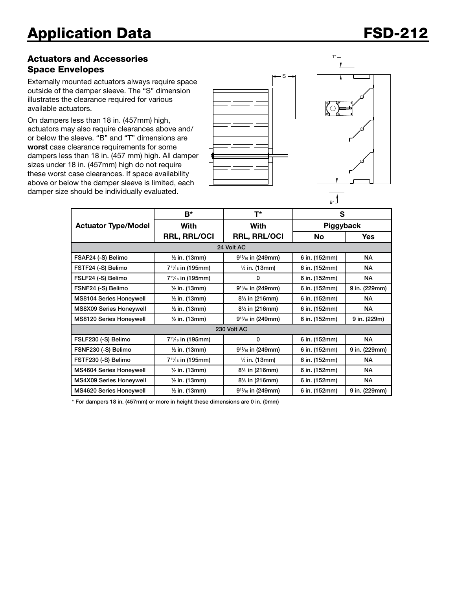### Actuators and Accessories Space Envelopes

Externally mounted actuators always require space outside of the damper sleeve. The "S" dimension illustrates the clearance required for various available actuators.

On dampers less than 18 in. (457mm) high, actuators may also require clearances above and/ or below the sleeve. "B" and "T" dimensions are worst case clearance requirements for some dampers less than 18 in. (457 mm) high. All damper sizes under 18 in. (457mm) high do not require these worst case clearances. If space availability above or below the damper sleeve is limited, each damper size should be individually evaluated.





T\*



|                                | B*                                         | T*                        | S             |               |  |  |  |  |
|--------------------------------|--------------------------------------------|---------------------------|---------------|---------------|--|--|--|--|
| <b>Actuator Type/Model</b>     | <b>With</b>                                | With                      | Piggyback     |               |  |  |  |  |
|                                | <b>RRL, RRL/OCI</b>                        | <b>RRL, RRL/OCI</b>       | <b>No</b>     | <b>Yes</b>    |  |  |  |  |
| 24 Volt AC                     |                                            |                           |               |               |  |  |  |  |
| FSAF24 (-S) Belimo             | $\frac{1}{2}$ in. (13mm)                   | $9^{13}/_{16}$ in (249mm) | 6 in. (152mm) | <b>NA</b>     |  |  |  |  |
| FSTF24 (-S) Belimo             | 7 <sup>11</sup> / <sub>16</sub> in (195mm) | $\frac{1}{2}$ in. (13mm)  | 6 in. (152mm) | <b>NA</b>     |  |  |  |  |
| FSLF24 (-S) Belimo             | 7 <sup>11</sup> / <sub>16</sub> in (195mm) | 0                         | 6 in. (152mm) | NA.           |  |  |  |  |
| FSNF24 (-S) Belimo             | $\frac{1}{2}$ in. (13mm)                   | $9^{13}/_{16}$ in (249mm) | 6 in. (152mm) | 9 in. (229mm) |  |  |  |  |
| MS8104 Series Honeywell        | $\frac{1}{2}$ in. (13mm)                   | 81/2 in (216mm)           | 6 in. (152mm) | <b>NA</b>     |  |  |  |  |
| MS8X09 Series Honeywell        | $\frac{1}{2}$ in. (13mm)                   | 81/2 in (216mm)           | 6 in. (152mm) | <b>NA</b>     |  |  |  |  |
| <b>MS8120 Series Honeywell</b> | $\frac{1}{2}$ in. (13mm)                   | $9^{13}/_{16}$ in (249mm) | 6 in. (152mm) | 9 in. (229m)  |  |  |  |  |
| 230 Volt AC                    |                                            |                           |               |               |  |  |  |  |
| FSLF230 (-S) Belimo            | 7 <sup>11</sup> / <sub>16</sub> in (195mm) | 0                         | 6 in. (152mm) | <b>NA</b>     |  |  |  |  |
| FSNF230 (-S) Belimo            | $\frac{1}{2}$ in. (13mm)                   | $9^{13}/_{16}$ in (249mm) | 6 in. (152mm) | 9 in. (229mm) |  |  |  |  |
| FSTF230 (-S) Belimo            | 7 <sup>11</sup> / <sub>16</sub> in (195mm) | $\frac{1}{2}$ in. (13mm)  | 6 in. (152mm) | <b>NA</b>     |  |  |  |  |
| MS4604 Series Honeywell        | $\frac{1}{2}$ in. (13mm)                   | 81/2 in (216mm)           | 6 in. (152mm) | NA.           |  |  |  |  |
| MS4X09 Series Honeywell        | $\frac{1}{2}$ in. (13mm)                   | 81/2 in (216mm)           | 6 in. (152mm) | NА            |  |  |  |  |
| <b>MS4620 Series Honeywell</b> | $\frac{1}{2}$ in. (13mm)                   | $9^{13}/_{16}$ in (249mm) | 6 in. (152mm) | 9 in. (229mm) |  |  |  |  |

\* For dampers 18 in. (457mm) or more in height these dimensions are 0 in. (0mm)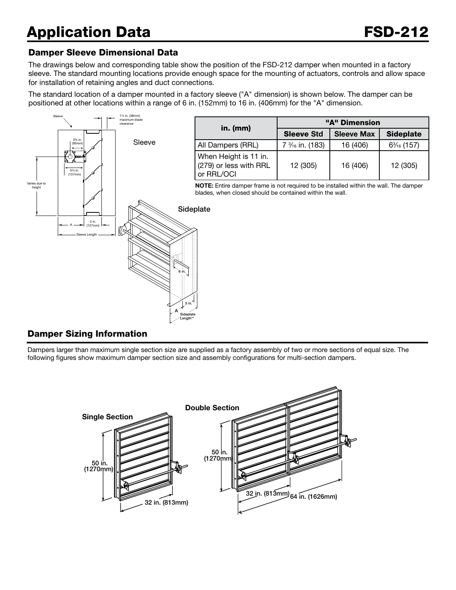#### Damper Sleeve Dimensional Data

The drawings below and corresponding table show the position of the FSD-212 damper when mounted in a factory sleeve. The standard mounting locations provide enough space for the mounting of actuators, controls and allow space for installation of retaining angles and duct connections.

The standard location of a damper mounted in a factory sleeve ("A" dimension) is shown below. The damper can be positioned at other locations within a range of 6 in. (152mm) to 16 in. (406mm) for the "A" dimension.



#### Damper Sizing Information

Dampers larger than maximum single section size are supplied as a factory assembly of two or more sections of equal size. The following figures show maximum damper section size and assembly configurations for multi-section dampers.